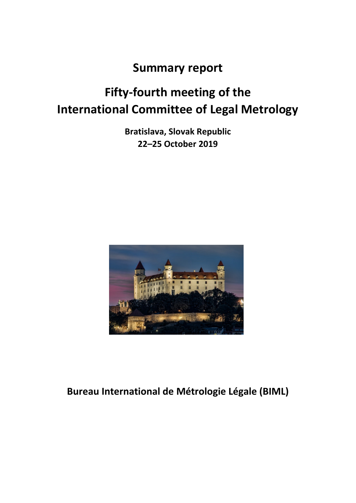## **Summary report**

# **Fifty-fourth meeting of the International Committee of Legal Metrology**

**Bratislava, Slovak Republic 22–25 October 2019**



## **Bureau International de Métrologie Légale (BIML)**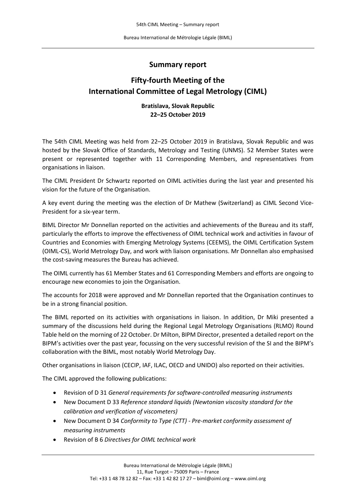#### **Summary report**

### **Fifty-fourth Meeting of the International Committee of Legal Metrology (CIML)**

#### **Bratislava, Slovak Republic 22–25 October 2019**

The 54th CIML Meeting was held from 22–25 October 2019 in Bratislava, Slovak Republic and was hosted by the Slovak Office of Standards, Metrology and Testing (UNMS). 52 Member States were present or represented together with 11 Corresponding Members, and representatives from organisations in liaison.

The CIML President Dr Schwartz reported on OIML activities during the last year and presented his vision for the future of the Organisation.

A key event during the meeting was the election of Dr Mathew (Switzerland) as CIML Second Vice-President for a six-year term.

BIML Director Mr Donnellan reported on the activities and achievements of the Bureau and its staff, particularly the efforts to improve the effectiveness of OIML technical work and activities in favour of Countries and Economies with Emerging Metrology Systems (CEEMS), the OIML Certification System (OIML-CS), World Metrology Day, and work with liaison organisations. Mr Donnellan also emphasised the cost-saving measures the Bureau has achieved.

The OIML currently has 61 Member States and 61 Corresponding Members and efforts are ongoing to encourage new economies to join the Organisation.

The accounts for 2018 were approved and Mr Donnellan reported that the Organisation continues to be in a strong financial position.

The BIML reported on its activities with organisations in liaison. In addition, Dr Miki presented a summary of the discussions held during the Regional Legal Metrology Organisations (RLMO) Round Table held on the morning of 22 October. Dr Milton, BIPM Director, presented a detailed report on the BIPM's activities over the past year, focussing on the very successful revision of the SI and the BIPM's collaboration with the BIML, most notably World Metrology Day.

Other organisations in liaison (CECIP, IAF, ILAC, OECD and UNIDO) also reported on their activities.

The CIML approved the following publications:

- Revision of D 31 *General requirements for software-controlled measuring instruments*
- New Document D 33 *Reference standard liquids (Newtonian viscosity standard for the calibration and verification of viscometers)*
- New Document D 34 *Conformity to Type (CTT) - Pre-market conformity assessment of measuring instruments*
- Revision of B 6 *Directives for OIML technical work*